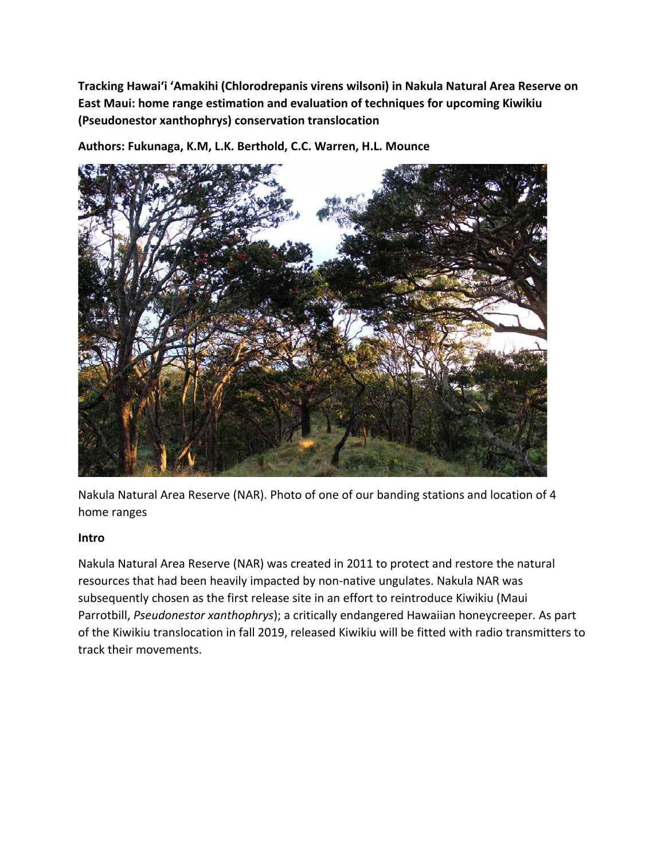**Tracking Hawai'i 'Amakihi (Chlorodrepanis virens wilsoni) in Nakula Natural Area Reserve on East Maui: home range estimation and evaluation of techniques for upcoming Kiwikiu (Pseudonestor xanthophrys) conservation translocation**



**Authors: Fukunaga, K.M, L.K. Berthold, C.C. Warren, H.L. Mounce** 

Nakula Natural Area Reserve (NAR). Photo of one of our banding stations and location of 4 home ranges

#### **Intro**

Nakula Natural Area Reserve (NAR) was created in 2011 to protect and restore the natural resources that had been heavily impacted by non-native ungulates. Nakula NAR was subsequently chosen as the first release site in an effort to reintroduce Kiwikiu (Maui Parrotbill, *Pseudonestor xanthophrys*); a critically endangered Hawaiian honeycreeper. As part of the Kiwikiu translocation in fall 2019, released Kiwikiu will be fitted with radio transmitters to track their movements.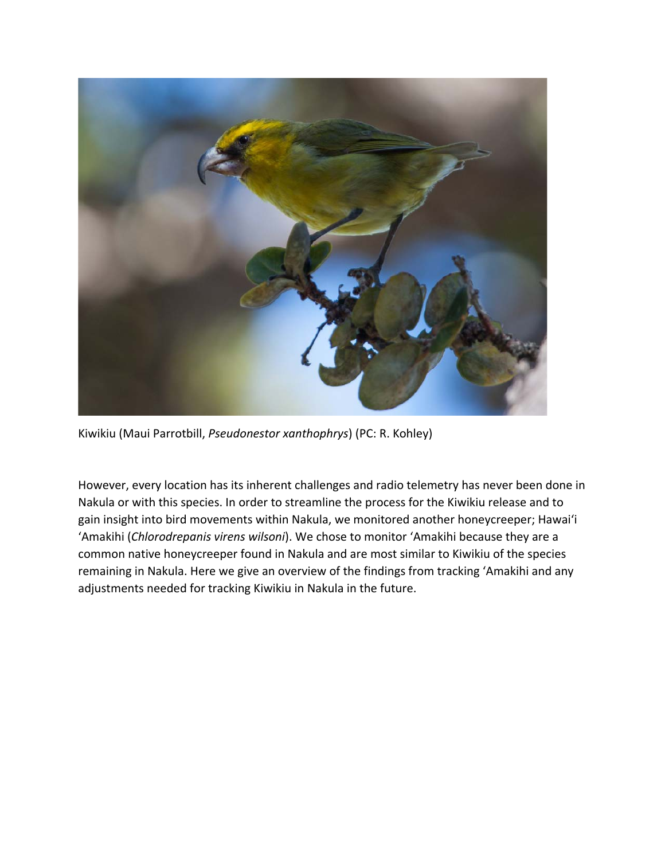

Kiwikiu (Maui Parrotbill, *Pseudonestor xanthophrys*) (PC: R. Kohley)

However, every location has its inherent challenges and radio telemetry has never been done in Nakula or with this species. In order to streamline the process for the Kiwikiu release and to gain insight into bird movements within Nakula, we monitored another honeycreeper; Hawai'i 'Amakihi (*Chlorodrepanis virens wilsoni*). We chose to monitor 'Amakihi because they are a common native honeycreeper found in Nakula and are most similar to Kiwikiu of the species remaining in Nakula. Here we give an overview of the findings from tracking 'Amakihi and any adjustments needed for tracking Kiwikiu in Nakula in the future.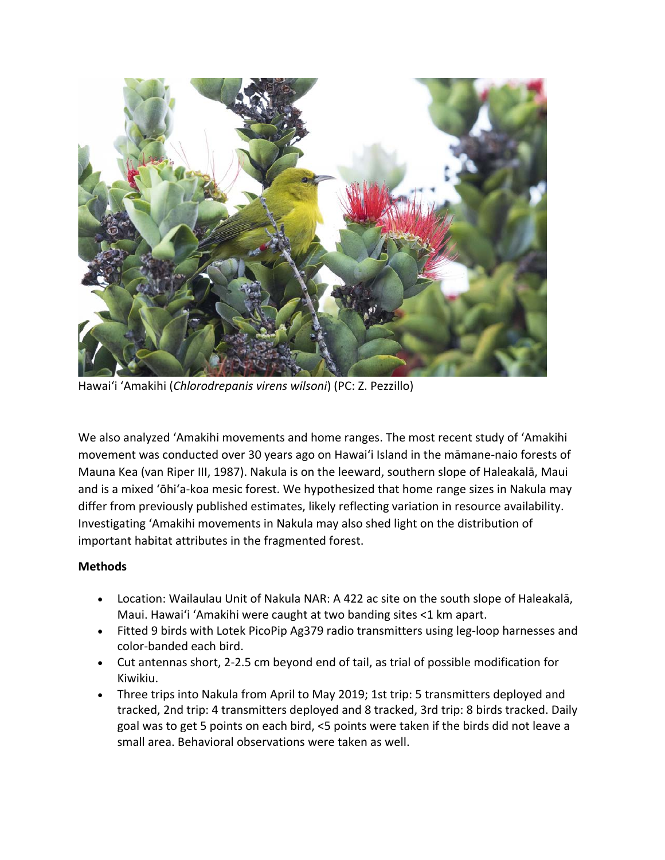

Hawai'i 'Amakihi (*Chlorodrepanis virens wilsoni*) (PC: Z. Pezzillo)

We also analyzed 'Amakihi movements and home ranges. The most recent study of 'Amakihi movement was conducted over 30 years ago on Hawaiʻi Island in the māmane-naio forests of Mauna Kea (van Riper III, 1987). Nakula is on the leeward, southern slope of Haleakalā, Maui and is a mixed 'ōhiʻa-koa mesic forest. We hypothesized that home range sizes in Nakula may differ from previously published estimates, likely reflecting variation in resource availability. Investigating 'Amakihi movements in Nakula may also shed light on the distribution of important habitat attributes in the fragmented forest.

# **Methods**

- Location: Wailaulau Unit of Nakula NAR: A 422 ac site on the south slope of Haleakalā, Maui. Hawaiʻi 'Amakihi were caught at two banding sites <1 km apart.
- Fitted 9 birds with Lotek PicoPip Ag379 radio transmitters using leg-loop harnesses and color-banded each bird.
- Cut antennas short, 2-2.5 cm beyond end of tail, as trial of possible modification for Kiwikiu.
- Three trips into Nakula from April to May 2019; 1st trip: 5 transmitters deployed and tracked, 2nd trip: 4 transmitters deployed and 8 tracked, 3rd trip: 8 birds tracked. Daily goal was to get 5 points on each bird, <5 points were taken if the birds did not leave a small area. Behavioral observations were taken as well.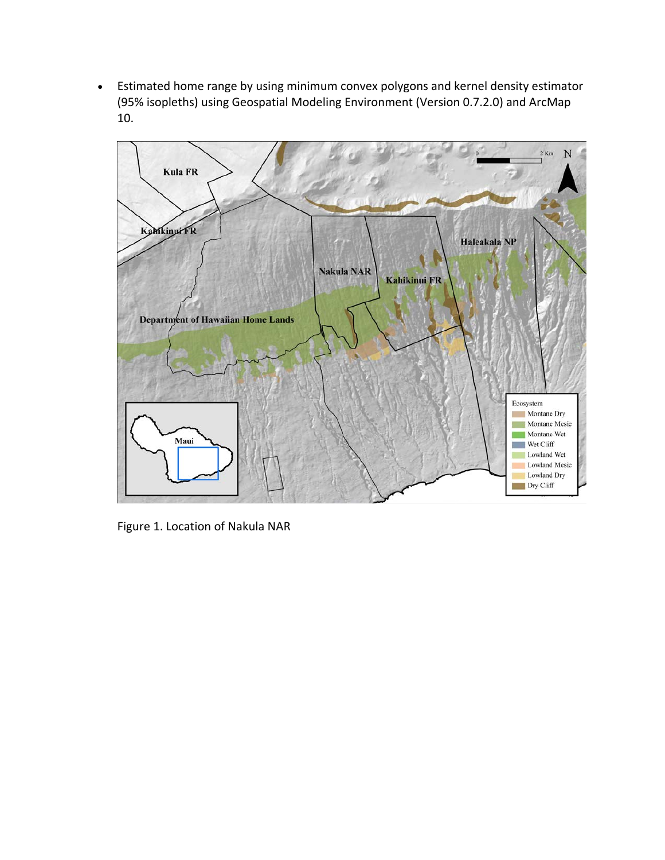• Estimated home range by using minimum convex polygons and kernel density estimator (95% isopleths) using Geospatial Modeling Environment (Version 0.7.2.0) and ArcMap 10.



Figure 1. Location of Nakula NAR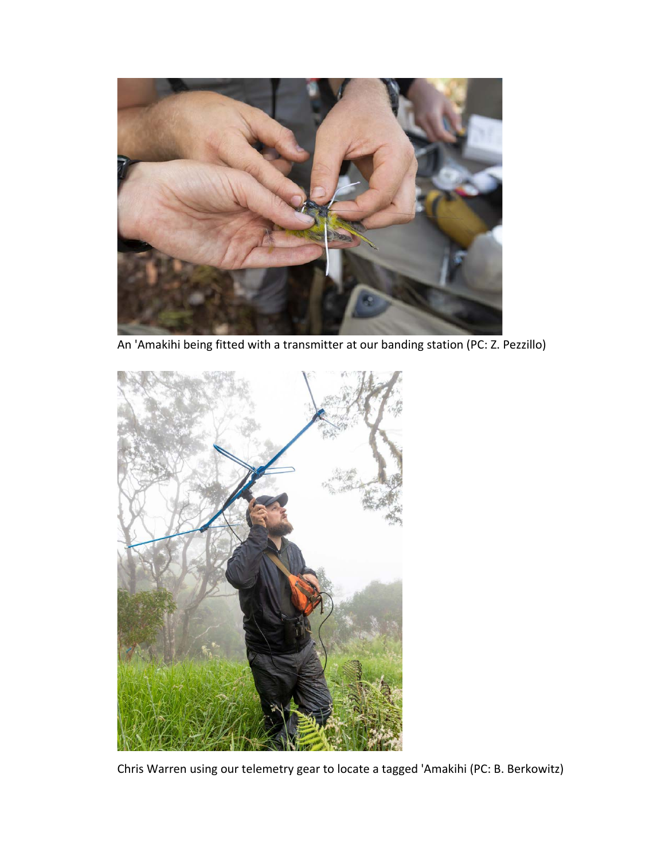

An 'Amakihi being fitted with a transmitter at our banding station (PC: Z. Pezzillo)



Chris Warren using our telemetry gear to locate a tagged 'Amakihi (PC: B. Berkowitz)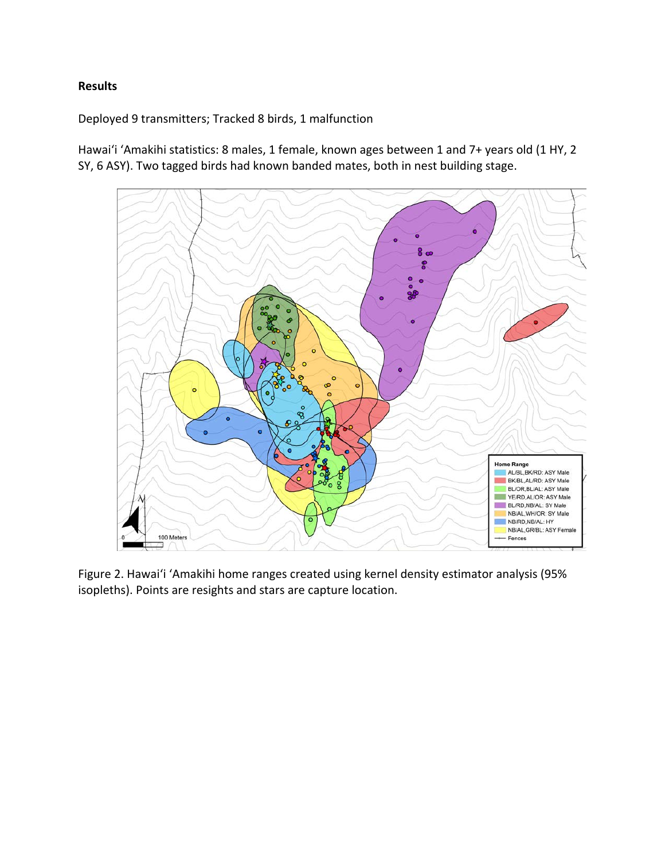## **Results**

Deployed 9 transmitters; Tracked 8 birds, 1 malfunction

Hawaiʻi ʻAmakihi statistics: 8 males, 1 female, known ages between 1 and 7+ years old (1 HY, 2 SY, 6 ASY). Two tagged birds had known banded mates, both in nest building stage.



Figure 2. Hawaiʻi ʻAmakihi home ranges created using kernel density estimator analysis (95% isopleths). Points are resights and stars are capture location.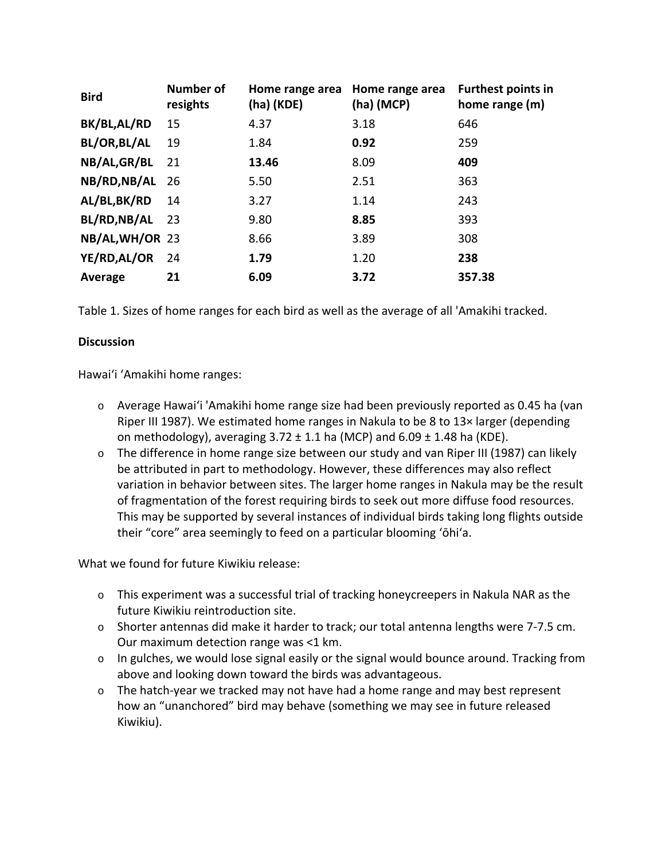| <b>Bird</b>     | <b>Number of</b><br>resights | Home range area<br>(ha) (KDE) | Home range area<br>$(ha)$ (MCP) | <b>Furthest points in</b><br>home range (m) |
|-----------------|------------------------------|-------------------------------|---------------------------------|---------------------------------------------|
| BK/BL,AL/RD     | 15                           | 4.37                          | 3.18                            | 646                                         |
| BL/OR, BL/AL    | 19                           | 1.84                          | 0.92                            | 259                                         |
| NB/AL, GR/BL    | 21                           | 13.46                         | 8.09                            | 409                                         |
| NB/RD, NB/AL 26 |                              | 5.50                          | 2.51                            | 363                                         |
| AL/BL,BK/RD     | 14                           | 3.27                          | 1.14                            | 243                                         |
| BL/RD, NB/AL    | - 23                         | 9.80                          | 8.85                            | 393                                         |
| NB/AL, WH/OR 23 |                              | 8.66                          | 3.89                            | 308                                         |
| YE/RD, AL/OR    | -24                          | 1.79                          | 1.20                            | 238                                         |
| Average         | 21                           | 6.09                          | 3.72                            | 357.38                                      |

Table 1. Sizes of home ranges for each bird as well as the average of all 'Amakihi tracked.

#### **Discussion**

Hawaiʻi ʻAmakihi home ranges:

- o Average Hawaiʻi 'Amakihi home range size had been previously reported as 0.45 ha (van Riper III 1987). We estimated home ranges in Nakula to be 8 to 13× larger (depending on methodology), averaging  $3.72 \pm 1.1$  ha (MCP) and  $6.09 \pm 1.48$  ha (KDE).
- $\circ$  The difference in home range size between our study and van Riper III (1987) can likely be attributed in part to methodology. However, these differences may also reflect variation in behavior between sites. The larger home ranges in Nakula may be the result of fragmentation of the forest requiring birds to seek out more diffuse food resources. This may be supported by several instances of individual birds taking long flights outside their "core" area seemingly to feed on a particular blooming ʻōhiʻa.

What we found for future Kiwikiu release:

- o This experiment was a successful trial of tracking honeycreepers in Nakula NAR as the future Kiwikiu reintroduction site.
- o Shorter antennas did make it harder to track; our total antenna lengths were 7-7.5 cm. Our maximum detection range was <1 km.
- $\circ$  In gulches, we would lose signal easily or the signal would bounce around. Tracking from above and looking down toward the birds was advantageous.
- $\circ$  The hatch-year we tracked may not have had a home range and may best represent how an "unanchored" bird may behave (something we may see in future released Kiwikiu).